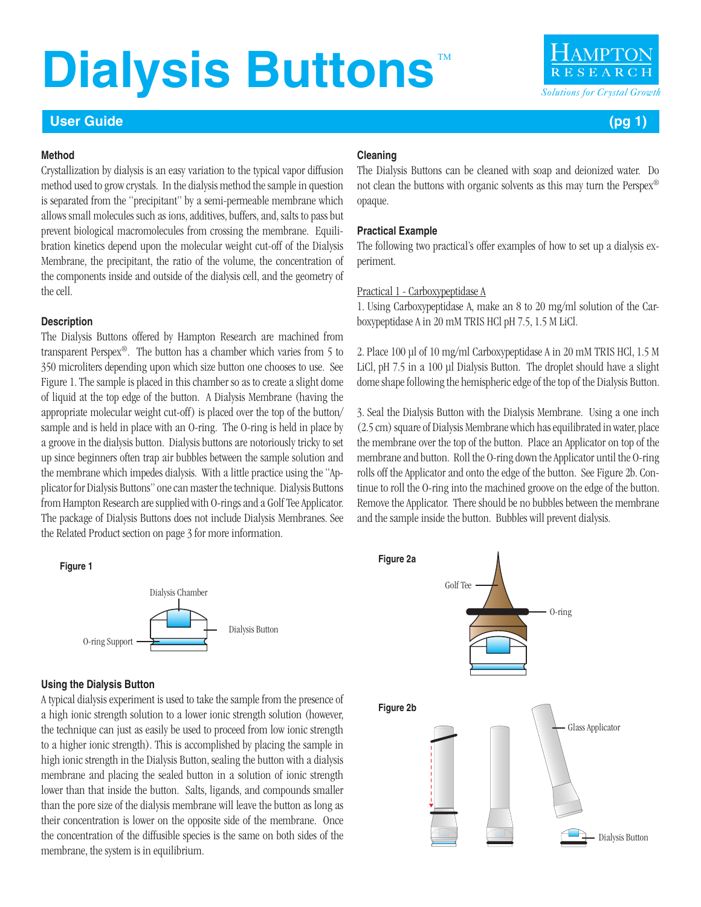## **Dialysis Buttons**

#### **User Guide (pg 1)**

#### **Method**

Crystallization by dialysis is an easy variation to the typical vapor diffusion method used to grow crystals. In the dialysis method the sample in question is separated from the "precipitant" by a semi-permeable membrane which allows small molecules such as ions, additives, buffers, and, salts to pass but prevent biological macromolecules from crossing the membrane. Equilibration kinetics depend upon the molecular weight cut-off of the Dialysis Membrane, the precipitant, the ratio of the volume, the concentration of the components inside and outside of the dialysis cell, and the geometry of the cell.

#### **Description**

The Dialysis Buttons offered by Hampton Research are machined from transparent Perspex®. The button has a chamber which varies from 5 to 350 microliters depending upon which size button one chooses to use. See Figure 1. The sample is placed in this chamber so as to create a slight dome of liquid at the top edge of the button. A Dialysis Membrane (having the appropriate molecular weight cut-off) is placed over the top of the button/ sample and is held in place with an O-ring. The O-ring is held in place by a groove in the dialysis button. Dialysis buttons are notoriously tricky to set up since beginners often trap air bubbles between the sample solution and the membrane which impedes dialysis. With a little practice using the "Applicator for Dialysis Buttons" one can master the technique. Dialysis Buttons from Hampton Research are supplied with O-rings and a Golf Tee Applicator. The package of Dialysis Buttons does not include Dialysis Membranes. See the Related Product section on page 3 for more information.

#### **Figure 1**



#### **Using the Dialysis Button**

A typical dialysis experiment is used to take the sample from the presence of a high ionic strength solution to a lower ionic strength solution (however, the technique can just as easily be used to proceed from low ionic strength to a higher ionic strength). This is accomplished by placing the sample in high ionic strength in the Dialysis Button, sealing the button with a dialysis membrane and placing the sealed button in a solution of ionic strength lower than that inside the button. Salts, ligands, and compounds smaller than the pore size of the dialysis membrane will leave the button as long as their concentration is lower on the opposite side of the membrane. Once the concentration of the diffusible species is the same on both sides of the membrane, the system is in equilibrium.

#### **Cleaning**

The Dialysis Buttons can be cleaned with soap and deionized water. Do not clean the buttons with organic solvents as this may turn the Perspex® opaque.

#### **Practical Example**

The following two practical's offer examples of how to set up a dialysis experiment.

#### Practical 1 - Carboxypeptidase A

1. Using Carboxypeptidase A, make an 8 to 20 mg/ml solution of the Carboxypeptidase A in 20 mM TRIS HCl pH 7.5, 1.5 M LiCl.

2. Place 100 µl of 10 mg/ml Carboxypeptidase A in 20 mM TRIS HCl, 1.5 M LiCl, pH 7.5 in a 100 µl Dialysis Button. The droplet should have a slight dome shape following the hemispheric edge of the top of the Dialysis Button.

3. Seal the Dialysis Button with the Dialysis Membrane. Using a one inch (2.5 cm) square of Dialysis Membrane which has equilibrated in water, place the membrane over the top of the button. Place an Applicator on top of the membrane and button. Roll the O-ring down the Applicator until the O-ring rolls off the Applicator and onto the edge of the button. See Figure 2b. Continue to roll the O-ring into the machined groove on the edge of the button. Remove the Applicator. There should be no bubbles between the membrane and the sample inside the button. Bubbles will prevent dialysis.

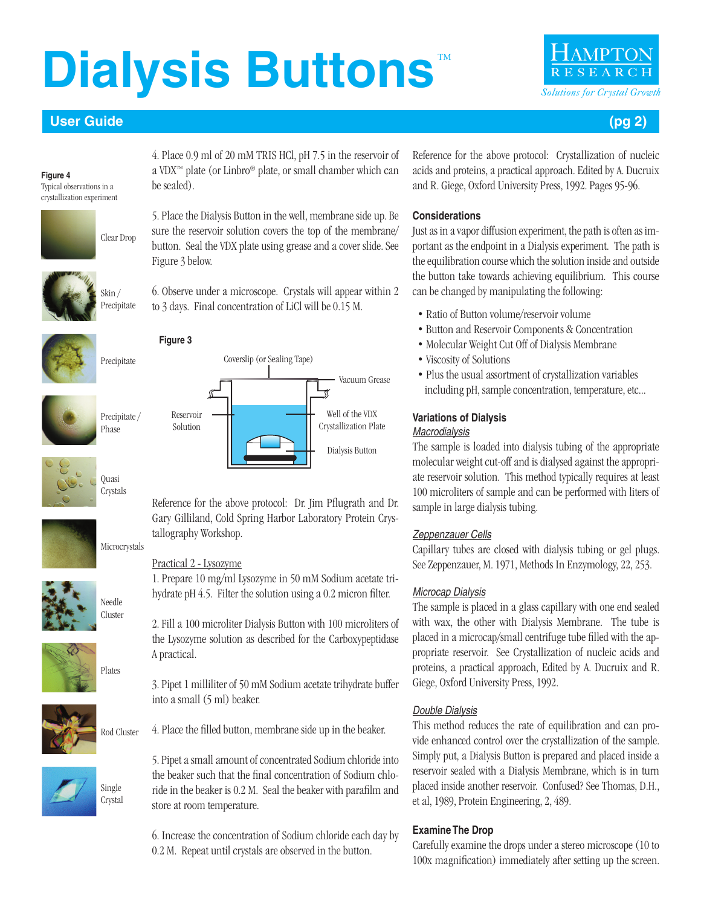# **Dialysis Buttons**



#### **User Guide (pg 2)**

**Figure 4** Typical observations in a crystallization experiment



be sealed).



5. Place the Dialysis Button in the well, membrane side up. Be sure the reservoir solution covers the top of the membrane/

4. Place 0.9 ml of 20 mM TRIS HCl, pH 7.5 in the reservoir of a VDX™ plate (or Linbro® plate, or small chamber which can

button. Seal the VDX plate using grease and a cover slide. See Figure 3 below.

6. Observe under a microscope. Crystals will appear within 2 to 3 days. Final concentration of LiCl will be 0.15 M.

Coverslip (or Sealing Tape)



#### **Figure 3**



Precipitate

### Reservoir

Solution



#### Practical 2 - Lysozyme

tallography Workshop.

1. Prepare 10 mg/ml Lysozyme in 50 mM Sodium acetate trihydrate pH 4.5. Filter the solution using a 0.2 micron filter.

Reference for the above protocol: Dr. Jim Pflugrath and Dr. Gary Gilliland, Cold Spring Harbor Laboratory Protein Crys-

Dialysis Button

Well of the VDX Crystallization Plate

Vacuum Grease

2. Fill a 100 microliter Dialysis Button with 100 microliters of the Lysozyme solution as described for the Carboxypeptidase A practical.

3. Pipet 1 milliliter of 50 mM Sodium acetate trihydrate buffer into a small (5 ml) beaker.

4. Place the filled button, membrane side up in the beaker. Rod Cluster



5. Pipet a small amount of concentrated Sodium chloride into the beaker such that the final concentration of Sodium chloride in the beaker is 0.2 M. Seal the beaker with parafilm and store at room temperature.

6. Increase the concentration of Sodium chloride each day by 0.2 M. Repeat until crystals are observed in the button.

Reference for the above protocol: Crystallization of nucleic acids and proteins, a practical approach. Edited by A. Ducruix and R. Giege, Oxford University Press, 1992. Pages 95-96.

#### **Considerations**

Just as in a vapor diffusion experiment, the path is often as important as the endpoint in a Dialysis experiment. The path is the equilibration course which the solution inside and outside the button take towards achieving equilibrium. This course can be changed by manipulating the following:

- Ratio of Button volume/reservoir volume
- Button and Reservoir Components & Concentration
- Molecular Weight Cut Off of Dialysis Membrane
- Viscosity of Solutions
- Plus the usual assortment of crystallization variables including pH, sample concentration, temperature, etc...

#### **Variations of Dialysis** *Macrodialysis*

The sample is loaded into dialysis tubing of the appropriate molecular weight cut-off and is dialysed against the appropriate reservoir solution. This method typically requires at least 100 microliters of sample and can be performed with liters of sample in large dialysis tubing.

### *Zeppenzauer Cells*

Capillary tubes are closed with dialysis tubing or gel plugs. See Zeppenzauer, M. 1971, Methods In Enzymology, 22, 253.

### *Microcap Dialysis*

The sample is placed in a glass capillary with one end sealed with wax, the other with Dialysis Membrane. The tube is placed in a microcap/small centrifuge tube filled with the appropriate reservoir. See Crystallization of nucleic acids and proteins, a practical approach, Edited by A. Ducruix and R. Giege, Oxford University Press, 1992.

### *Double Dialysis*

This method reduces the rate of equilibration and can provide enhanced control over the crystallization of the sample. Simply put, a Dialysis Button is prepared and placed inside a reservoir sealed with a Dialysis Membrane, which is in turn placed inside another reservoir. Confused? See Thomas, D.H., et al, 1989, Protein Engineering, 2, 489.

### **Examine The Drop**

Carefully examine the drops under a stereo microscope (10 to 100x magnification) immediately after setting up the screen.

**Quasi** Crystals



Needle Cluster

Plates